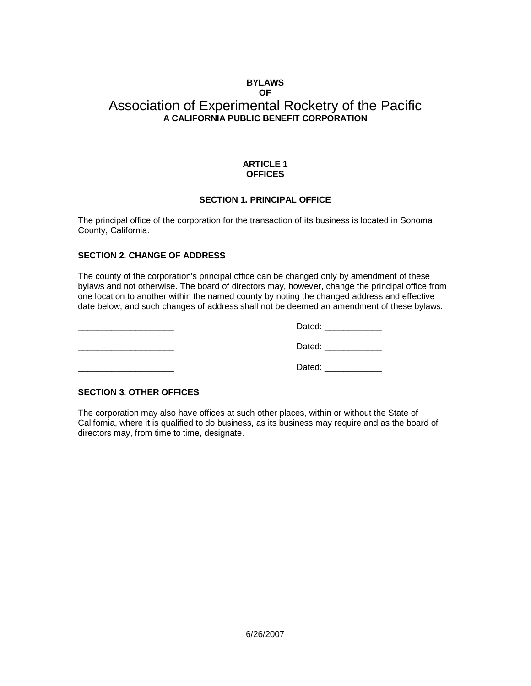# **BYLAWS OF** Association of Experimental Rocketry of the Pacific **A CALIFORNIA PUBLIC BENEFIT CORPORATION**

#### **ARTICLE 1 OFFICES**

# **SECTION 1. PRINCIPAL OFFICE**

The principal office of the corporation for the transaction of its business is located in Sonoma County, California.

## **SECTION 2. CHANGE OF ADDRESS**

The county of the corporation's principal office can be changed only by amendment of these bylaws and not otherwise. The board of directors may, however, change the principal office from one location to another within the named county by noting the changed address and effective date below, and such changes of address shall not be deemed an amendment of these bylaws.

| Dated: <b>Example</b> |
|-----------------------|
| Dated: <b>Example</b> |
| Dated:                |

#### **SECTION 3. OTHER OFFICES**

The corporation may also have offices at such other places, within or without the State of California, where it is qualified to do business, as its business may require and as the board of directors may, from time to time, designate.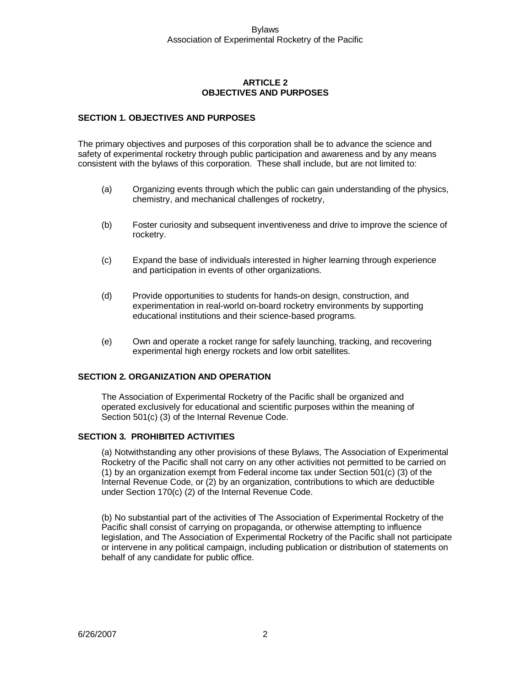#### **ARTICLE 2 OBJECTIVES AND PURPOSES**

## **SECTION 1. OBJECTIVES AND PURPOSES**

The primary objectives and purposes of this corporation shall be to advance the science and safety of experimental rocketry through public participation and awareness and by any means consistent with the bylaws of this corporation. These shall include, but are not limited to:

- (a) Organizing events through which the public can gain understanding of the physics, chemistry, and mechanical challenges of rocketry,
- (b) Foster curiosity and subsequent inventiveness and drive to improve the science of rocketry.
- (c) Expand the base of individuals interested in higher learning through experience and participation in events of other organizations.
- (d) Provide opportunities to students for hands-on design, construction, and experimentation in real-world on-board rocketry environments by supporting educational institutions and their science-based programs.
- (e) Own and operate a rocket range for safely launching, tracking, and recovering experimental high energy rockets and low orbit satellites.

#### **SECTION 2. ORGANIZATION AND OPERATION**

The Association of Experimental Rocketry of the Pacific shall be organized and operated exclusively for educational and scientific purposes within the meaning of Section 501(c) (3) of the Internal Revenue Code.

#### **SECTION 3. PROHIBITED ACTIVITIES**

(a) Notwithstanding any other provisions of these Bylaws, The Association of Experimental Rocketry of the Pacific shall not carry on any other activities not permitted to be carried on (1) by an organization exempt from Federal income tax under Section 501(c) (3) of the Internal Revenue Code, or (2) by an organization, contributions to which are deductible under Section 170(c) (2) of the Internal Revenue Code.

(b) No substantial part of the activities of The Association of Experimental Rocketry of the Pacific shall consist of carrying on propaganda, or otherwise attempting to influence legislation, and The Association of Experimental Rocketry of the Pacific shall not participate or intervene in any political campaign, including publication or distribution of statements on behalf of any candidate for public office.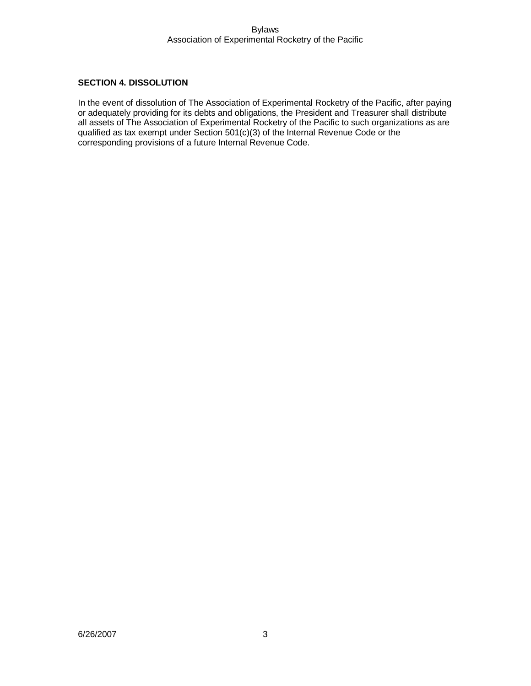# **SECTION 4. DISSOLUTION**

In the event of dissolution of The Association of Experimental Rocketry of the Pacific, after paying or adequately providing for its debts and obligations, the President and Treasurer shall distribute all assets of The Association of Experimental Rocketry of the Pacific to such organizations as are qualified as tax exempt under Section 501(c)(3) of the Internal Revenue Code or the corresponding provisions of a future Internal Revenue Code.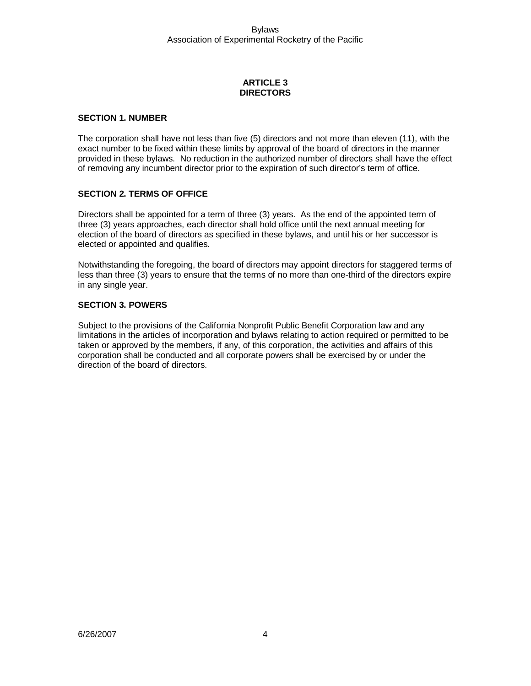## **ARTICLE 3 DIRECTORS**

#### **SECTION 1. NUMBER**

The corporation shall have not less than five (5) directors and not more than eleven (11), with the exact number to be fixed within these limits by approval of the board of directors in the manner provided in these bylaws. No reduction in the authorized number of directors shall have the effect of removing any incumbent director prior to the expiration of such director's term of office.

# **SECTION 2. TERMS OF OFFICE**

Directors shall be appointed for a term of three (3) years. As the end of the appointed term of three (3) years approaches, each director shall hold office until the next annual meeting for election of the board of directors as specified in these bylaws, and until his or her successor is elected or appointed and qualifies.

Notwithstanding the foregoing, the board of directors may appoint directors for staggered terms of less than three (3) years to ensure that the terms of no more than one-third of the directors expire in any single year.

## **SECTION 3. POWERS**

Subject to the provisions of the California Nonprofit Public Benefit Corporation law and any limitations in the articles of incorporation and bylaws relating to action required or permitted to be taken or approved by the members, if any, of this corporation, the activities and affairs of this corporation shall be conducted and all corporate powers shall be exercised by or under the direction of the board of directors.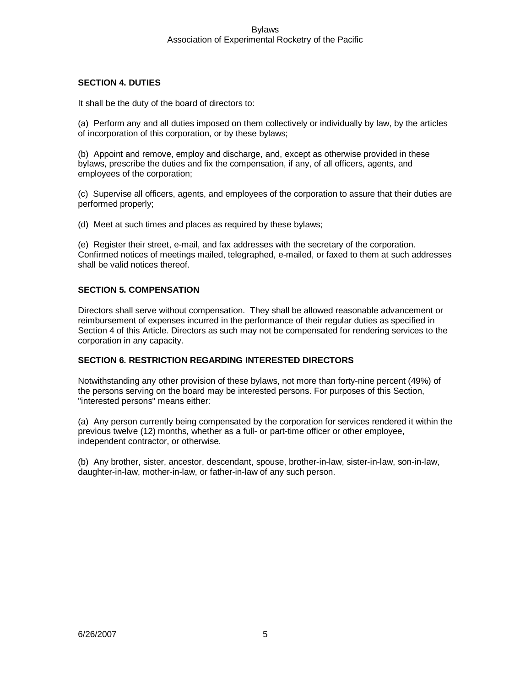#### **SECTION 4. DUTIES**

It shall be the duty of the board of directors to:

(a) Perform any and all duties imposed on them collectively or individually by law, by the articles of incorporation of this corporation, or by these bylaws;

(b) Appoint and remove, employ and discharge, and, except as otherwise provided in these bylaws, prescribe the duties and fix the compensation, if any, of all officers, agents, and employees of the corporation;

(c) Supervise all officers, agents, and employees of the corporation to assure that their duties are performed properly;

(d) Meet at such times and places as required by these bylaws;

(e) Register their street, e-mail, and fax addresses with the secretary of the corporation. Confirmed notices of meetings mailed, telegraphed, e-mailed, or faxed to them at such addresses shall be valid notices thereof.

#### **SECTION 5. COMPENSATION**

Directors shall serve without compensation. They shall be allowed reasonable advancement or reimbursement of expenses incurred in the performance of their regular duties as specified in Section 4 of this Article. Directors as such may not be compensated for rendering services to the corporation in any capacity.

#### **SECTION 6. RESTRICTION REGARDING INTERESTED DIRECTORS**

Notwithstanding any other provision of these bylaws, not more than forty-nine percent (49%) of the persons serving on the board may be interested persons. For purposes of this Section, "interested persons" means either:

(a) Any person currently being compensated by the corporation for services rendered it within the previous twelve (12) months, whether as a full- or part-time officer or other employee, independent contractor, or otherwise.

(b) Any brother, sister, ancestor, descendant, spouse, brother-in-law, sister-in-law, son-in-law, daughter-in-law, mother-in-law, or father-in-law of any such person.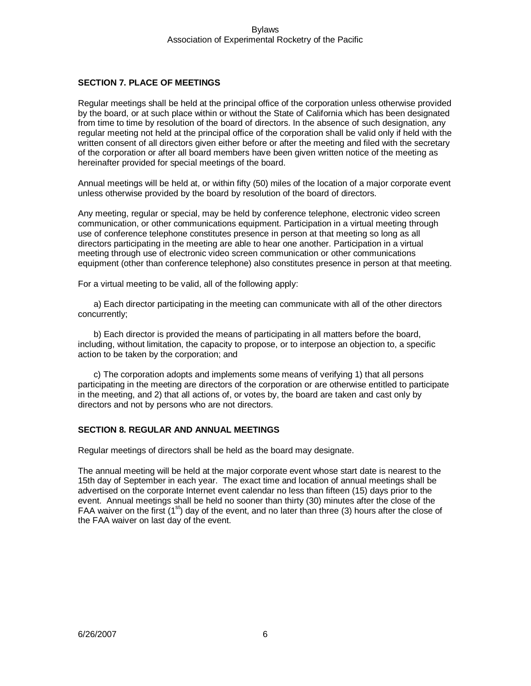## **SECTION 7. PLACE OF MEETINGS**

Regular meetings shall be held at the principal office of the corporation unless otherwise provided by the board, or at such place within or without the State of California which has been designated from time to time by resolution of the board of directors. In the absence of such designation, any regular meeting not held at the principal office of the corporation shall be valid only if held with the written consent of all directors given either before or after the meeting and filed with the secretary of the corporation or after all board members have been given written notice of the meeting as hereinafter provided for special meetings of the board.

Annual meetings will be held at, or within fifty (50) miles of the location of a major corporate event unless otherwise provided by the board by resolution of the board of directors.

Any meeting, regular or special, may be held by conference telephone, electronic video screen communication, or other communications equipment. Participation in a virtual meeting through use of conference telephone constitutes presence in person at that meeting so long as all directors participating in the meeting are able to hear one another. Participation in a virtual meeting through use of electronic video screen communication or other communications equipment (other than conference telephone) also constitutes presence in person at that meeting.

For a virtual meeting to be valid, all of the following apply:

a) Each director participating in the meeting can communicate with all of the other directors concurrently;

b) Each director is provided the means of participating in all matters before the board, including, without limitation, the capacity to propose, or to interpose an objection to, a specific action to be taken by the corporation; and

c) The corporation adopts and implements some means of verifying 1) that all persons participating in the meeting are directors of the corporation or are otherwise entitled to participate in the meeting, and 2) that all actions of, or votes by, the board are taken and cast only by directors and not by persons who are not directors.

#### **SECTION 8. REGULAR AND ANNUAL MEETINGS**

Regular meetings of directors shall be held as the board may designate.

The annual meeting will be held at the major corporate event whose start date is nearest to the 15th day of September in each year. The exact time and location of annual meetings shall be advertised on the corporate Internet event calendar no less than fifteen (15) days prior to the event. Annual meetings shall be held no sooner than thirty (30) minutes after the close of the FAA waiver on the first  $(1<sup>st</sup>)$  day of the event, and no later than three (3) hours after the close of the FAA waiver on last day of the event.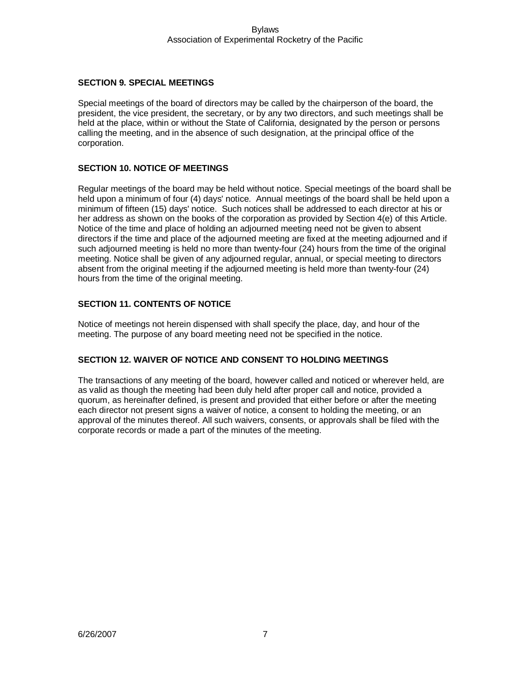## **SECTION 9. SPECIAL MEETINGS**

Special meetings of the board of directors may be called by the chairperson of the board, the president, the vice president, the secretary, or by any two directors, and such meetings shall be held at the place, within or without the State of California, designated by the person or persons calling the meeting, and in the absence of such designation, at the principal office of the corporation.

## **SECTION 10. NOTICE OF MEETINGS**

Regular meetings of the board may be held without notice. Special meetings of the board shall be held upon a minimum of four (4) days' notice. Annual meetings of the board shall be held upon a minimum of fifteen (15) days' notice. Such notices shall be addressed to each director at his or her address as shown on the books of the corporation as provided by Section 4(e) of this Article. Notice of the time and place of holding an adjourned meeting need not be given to absent directors if the time and place of the adjourned meeting are fixed at the meeting adjourned and if such adjourned meeting is held no more than twenty-four (24) hours from the time of the original meeting. Notice shall be given of any adjourned regular, annual, or special meeting to directors absent from the original meeting if the adjourned meeting is held more than twenty-four (24) hours from the time of the original meeting.

## **SECTION 11. CONTENTS OF NOTICE**

Notice of meetings not herein dispensed with shall specify the place, day, and hour of the meeting. The purpose of any board meeting need not be specified in the notice.

## **SECTION 12. WAIVER OF NOTICE AND CONSENT TO HOLDING MEETINGS**

The transactions of any meeting of the board, however called and noticed or wherever held, are as valid as though the meeting had been duly held after proper call and notice, provided a quorum, as hereinafter defined, is present and provided that either before or after the meeting each director not present signs a waiver of notice, a consent to holding the meeting, or an approval of the minutes thereof. All such waivers, consents, or approvals shall be filed with the corporate records or made a part of the minutes of the meeting.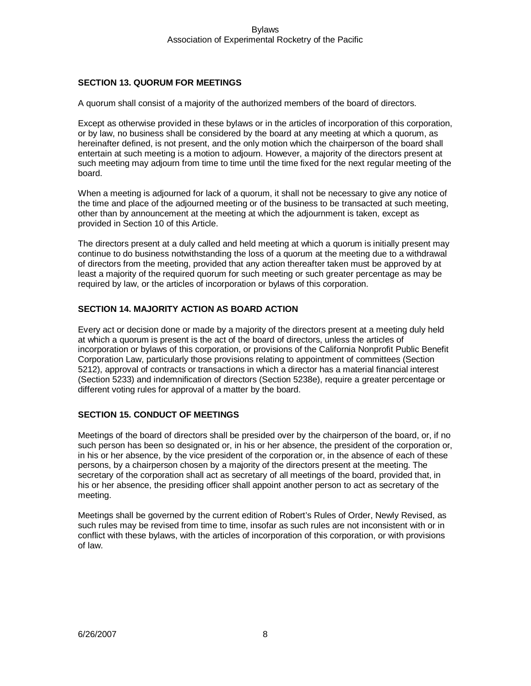## **SECTION 13. QUORUM FOR MEETINGS**

A quorum shall consist of a majority of the authorized members of the board of directors.

Except as otherwise provided in these bylaws or in the articles of incorporation of this corporation, or by law, no business shall be considered by the board at any meeting at which a quorum, as hereinafter defined, is not present, and the only motion which the chairperson of the board shall entertain at such meeting is a motion to adjourn. However, a majority of the directors present at such meeting may adjourn from time to time until the time fixed for the next regular meeting of the board.

When a meeting is adjourned for lack of a quorum, it shall not be necessary to give any notice of the time and place of the adjourned meeting or of the business to be transacted at such meeting, other than by announcement at the meeting at which the adjournment is taken, except as provided in Section 10 of this Article.

The directors present at a duly called and held meeting at which a quorum is initially present may continue to do business notwithstanding the loss of a quorum at the meeting due to a withdrawal of directors from the meeting, provided that any action thereafter taken must be approved by at least a majority of the required quorum for such meeting or such greater percentage as may be required by law, or the articles of incorporation or bylaws of this corporation.

## **SECTION 14. MAJORITY ACTION AS BOARD ACTION**

Every act or decision done or made by a majority of the directors present at a meeting duly held at which a quorum is present is the act of the board of directors, unless the articles of incorporation or bylaws of this corporation, or provisions of the California Nonprofit Public Benefit Corporation Law, particularly those provisions relating to appointment of committees (Section 5212), approval of contracts or transactions in which a director has a material financial interest (Section 5233) and indemnification of directors (Section 5238e), require a greater percentage or different voting rules for approval of a matter by the board.

## **SECTION 15. CONDUCT OF MEETINGS**

Meetings of the board of directors shall be presided over by the chairperson of the board, or, if no such person has been so designated or, in his or her absence, the president of the corporation or, in his or her absence, by the vice president of the corporation or, in the absence of each of these persons, by a chairperson chosen by a majority of the directors present at the meeting. The secretary of the corporation shall act as secretary of all meetings of the board, provided that, in his or her absence, the presiding officer shall appoint another person to act as secretary of the meeting.

Meetings shall be governed by the current edition of Robert's Rules of Order, Newly Revised, as such rules may be revised from time to time, insofar as such rules are not inconsistent with or in conflict with these bylaws, with the articles of incorporation of this corporation, or with provisions of law.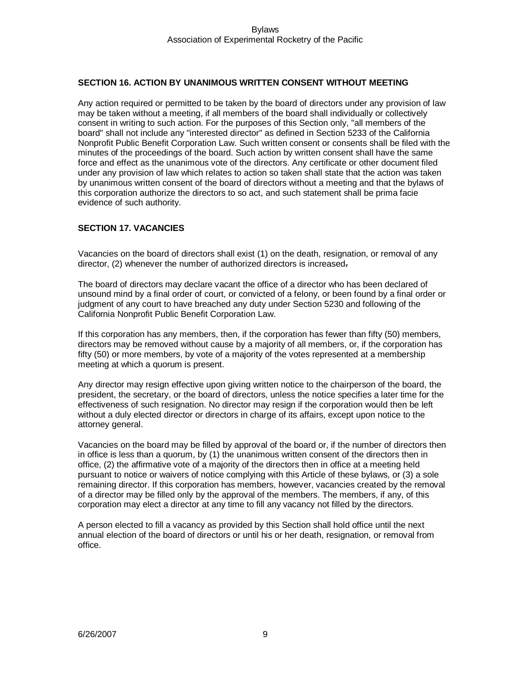## **SECTION 16. ACTION BY UNANIMOUS WRITTEN CONSENT WITHOUT MEETING**

Any action required or permitted to be taken by the board of directors under any provision of law may be taken without a meeting, if all members of the board shall individually or collectively consent in writing to such action. For the purposes of this Section only, "all members of the board" shall not include any "interested director" as defined in Section 5233 of the California Nonprofit Public Benefit Corporation Law. Such written consent or consents shall be filed with the minutes of the proceedings of the board. Such action by written consent shall have the same force and effect as the unanimous vote of the directors. Any certificate or other document filed under any provision of law which relates to action so taken shall state that the action was taken by unanimous written consent of the board of directors without a meeting and that the bylaws of this corporation authorize the directors to so act, and such statement shall be prima facie evidence of such authority.

## **SECTION 17. VACANCIES**

Vacancies on the board of directors shall exist (1) on the death, resignation, or removal of any director, (2) whenever the number of authorized directors is increased**.**

The board of directors may declare vacant the office of a director who has been declared of unsound mind by a final order of court, or convicted of a felony, or been found by a final order or judgment of any court to have breached any duty under Section 5230 and following of the California Nonprofit Public Benefit Corporation Law.

If this corporation has any members, then, if the corporation has fewer than fifty (50) members, directors may be removed without cause by a majority of all members, or, if the corporation has fifty (50) or more members, by vote of a majority of the votes represented at a membership meeting at which a quorum is present.

Any director may resign effective upon giving written notice to the chairperson of the board, the president, the secretary, or the board of directors, unless the notice specifies a later time for the effectiveness of such resignation. No director may resign if the corporation would then be left without a duly elected director or directors in charge of its affairs, except upon notice to the attorney general.

Vacancies on the board may be filled by approval of the board or, if the number of directors then in office is less than a quorum, by (1) the unanimous written consent of the directors then in office, (2) the affirmative vote of a majority of the directors then in office at a meeting held pursuant to notice or waivers of notice complying with this Article of these bylaws, or (3) a sole remaining director. If this corporation has members, however, vacancies created by the removal of a director may be filled only by the approval of the members. The members, if any, of this corporation may elect a director at any time to fill any vacancy not filled by the directors.

A person elected to fill a vacancy as provided by this Section shall hold office until the next annual election of the board of directors or until his or her death, resignation, or removal from office.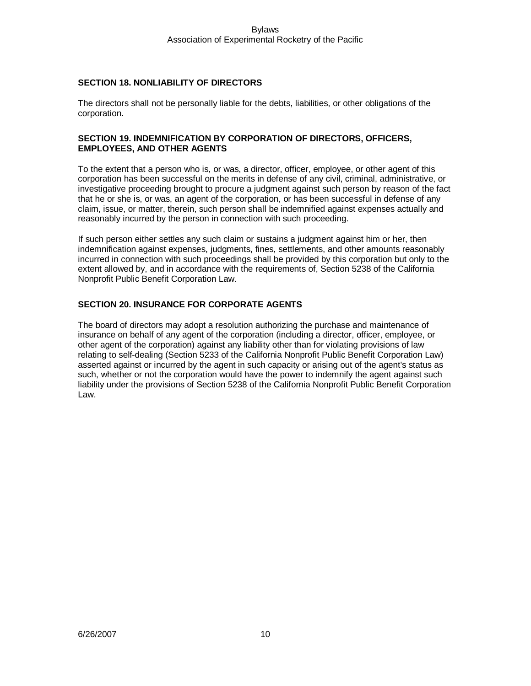## **SECTION 18. NONLIABILITY OF DIRECTORS**

The directors shall not be personally liable for the debts, liabilities, or other obligations of the corporation.

#### **SECTION 19. INDEMNIFICATION BY CORPORATION OF DIRECTORS, OFFICERS, EMPLOYEES, AND OTHER AGENTS**

To the extent that a person who is, or was, a director, officer, employee, or other agent of this corporation has been successful on the merits in defense of any civil, criminal, administrative, or investigative proceeding brought to procure a judgment against such person by reason of the fact that he or she is, or was, an agent of the corporation, or has been successful in defense of any claim, issue, or matter, therein, such person shall be indemnified against expenses actually and reasonably incurred by the person in connection with such proceeding.

If such person either settles any such claim or sustains a judgment against him or her, then indemnification against expenses, judgments, fines, settlements, and other amounts reasonably incurred in connection with such proceedings shall be provided by this corporation but only to the extent allowed by, and in accordance with the requirements of, Section 5238 of the California Nonprofit Public Benefit Corporation Law.

#### **SECTION 20. INSURANCE FOR CORPORATE AGENTS**

The board of directors may adopt a resolution authorizing the purchase and maintenance of insurance on behalf of any agent of the corporation (including a director, officer, employee, or other agent of the corporation) against any liability other than for violating provisions of law relating to self-dealing (Section 5233 of the California Nonprofit Public Benefit Corporation Law) asserted against or incurred by the agent in such capacity or arising out of the agent's status as such, whether or not the corporation would have the power to indemnify the agent against such liability under the provisions of Section 5238 of the California Nonprofit Public Benefit Corporation Law.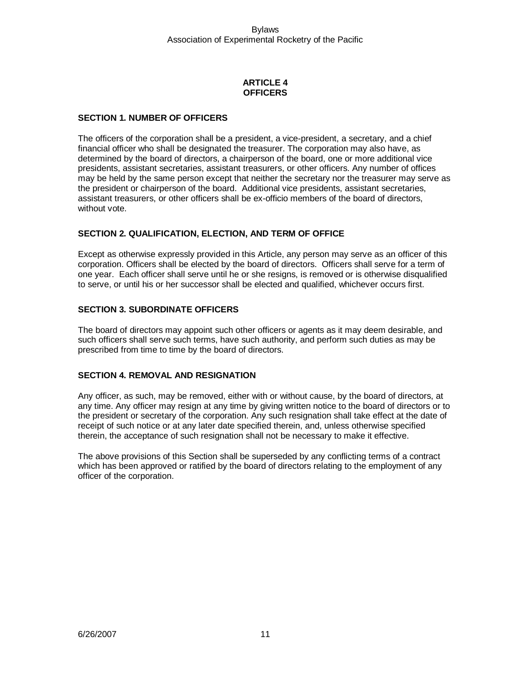# **ARTICLE 4 OFFICERS**

#### **SECTION 1. NUMBER OF OFFICERS**

The officers of the corporation shall be a president, a vice-president, a secretary, and a chief financial officer who shall be designated the treasurer. The corporation may also have, as determined by the board of directors, a chairperson of the board, one or more additional vice presidents, assistant secretaries, assistant treasurers, or other officers. Any number of offices may be held by the same person except that neither the secretary nor the treasurer may serve as the president or chairperson of the board. Additional vice presidents, assistant secretaries, assistant treasurers, or other officers shall be ex-officio members of the board of directors, without vote.

## **SECTION 2. QUALIFICATION, ELECTION, AND TERM OF OFFICE**

Except as otherwise expressly provided in this Article, any person may serve as an officer of this corporation. Officers shall be elected by the board of directors. Officers shall serve for a term of one year. Each officer shall serve until he or she resigns, is removed or is otherwise disqualified to serve, or until his or her successor shall be elected and qualified, whichever occurs first.

## **SECTION 3. SUBORDINATE OFFICERS**

The board of directors may appoint such other officers or agents as it may deem desirable, and such officers shall serve such terms, have such authority, and perform such duties as may be prescribed from time to time by the board of directors.

## **SECTION 4. REMOVAL AND RESIGNATION**

Any officer, as such, may be removed, either with or without cause, by the board of directors, at any time. Any officer may resign at any time by giving written notice to the board of directors or to the president or secretary of the corporation. Any such resignation shall take effect at the date of receipt of such notice or at any later date specified therein, and, unless otherwise specified therein, the acceptance of such resignation shall not be necessary to make it effective.

The above provisions of this Section shall be superseded by any conflicting terms of a contract which has been approved or ratified by the board of directors relating to the employment of any officer of the corporation.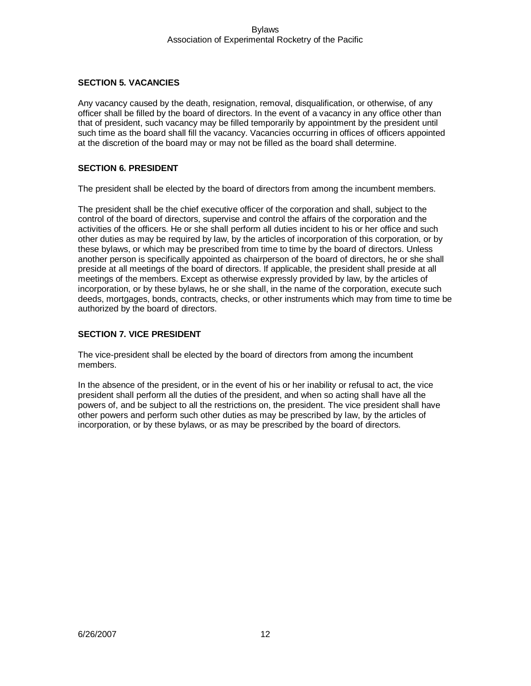## **SECTION 5. VACANCIES**

Any vacancy caused by the death, resignation, removal, disqualification, or otherwise, of any officer shall be filled by the board of directors. In the event of a vacancy in any office other than that of president, such vacancy may be filled temporarily by appointment by the president until such time as the board shall fill the vacancy. Vacancies occurring in offices of officers appointed at the discretion of the board may or may not be filled as the board shall determine.

## **SECTION 6. PRESIDENT**

The president shall be elected by the board of directors from among the incumbent members.

The president shall be the chief executive officer of the corporation and shall, subject to the control of the board of directors, supervise and control the affairs of the corporation and the activities of the officers. He or she shall perform all duties incident to his or her office and such other duties as may be required by law, by the articles of incorporation of this corporation, or by these bylaws, or which may be prescribed from time to time by the board of directors. Unless another person is specifically appointed as chairperson of the board of directors, he or she shall preside at all meetings of the board of directors. If applicable, the president shall preside at all meetings of the members. Except as otherwise expressly provided by law, by the articles of incorporation, or by these bylaws, he or she shall, in the name of the corporation, execute such deeds, mortgages, bonds, contracts, checks, or other instruments which may from time to time be authorized by the board of directors.

## **SECTION 7. VICE PRESIDENT**

The vice-president shall be elected by the board of directors from among the incumbent members.

In the absence of the president, or in the event of his or her inability or refusal to act, the vice president shall perform all the duties of the president, and when so acting shall have all the powers of, and be subject to all the restrictions on, the president. The vice president shall have other powers and perform such other duties as may be prescribed by law, by the articles of incorporation, or by these bylaws, or as may be prescribed by the board of directors.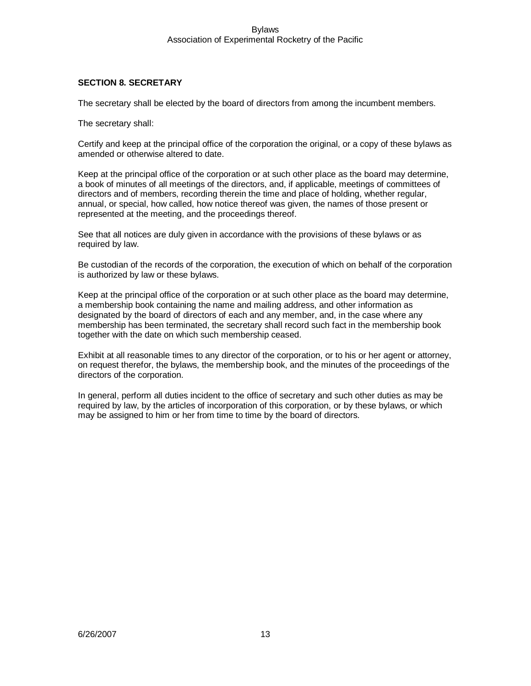#### **SECTION 8. SECRETARY**

The secretary shall be elected by the board of directors from among the incumbent members.

The secretary shall:

Certify and keep at the principal office of the corporation the original, or a copy of these bylaws as amended or otherwise altered to date.

Keep at the principal office of the corporation or at such other place as the board may determine, a book of minutes of all meetings of the directors, and, if applicable, meetings of committees of directors and of members, recording therein the time and place of holding, whether regular, annual, or special, how called, how notice thereof was given, the names of those present or represented at the meeting, and the proceedings thereof.

See that all notices are duly given in accordance with the provisions of these bylaws or as required by law.

Be custodian of the records of the corporation, the execution of which on behalf of the corporation is authorized by law or these bylaws.

Keep at the principal office of the corporation or at such other place as the board may determine, a membership book containing the name and mailing address, and other information as designated by the board of directors of each and any member, and, in the case where any membership has been terminated, the secretary shall record such fact in the membership book together with the date on which such membership ceased.

Exhibit at all reasonable times to any director of the corporation, or to his or her agent or attorney, on request therefor, the bylaws, the membership book, and the minutes of the proceedings of the directors of the corporation.

In general, perform all duties incident to the office of secretary and such other duties as may be required by law, by the articles of incorporation of this corporation, or by these bylaws, or which may be assigned to him or her from time to time by the board of directors.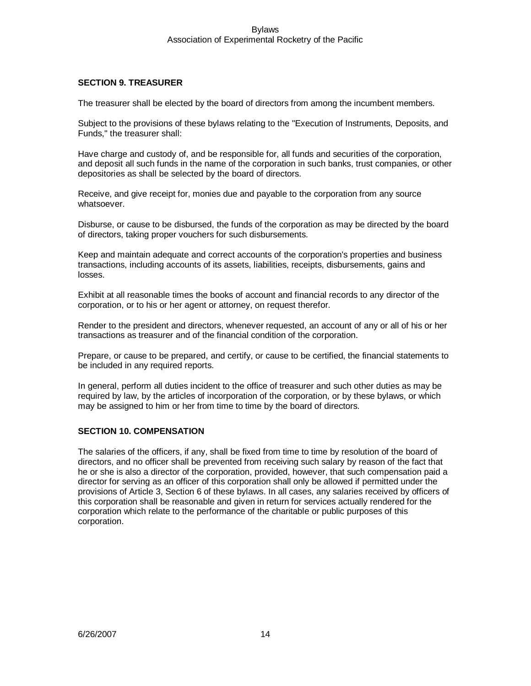#### **SECTION 9. TREASURER**

The treasurer shall be elected by the board of directors from among the incumbent members.

Subject to the provisions of these bylaws relating to the "Execution of Instruments, Deposits, and Funds," the treasurer shall:

Have charge and custody of, and be responsible for, all funds and securities of the corporation, and deposit all such funds in the name of the corporation in such banks, trust companies, or other depositories as shall be selected by the board of directors.

Receive, and give receipt for, monies due and payable to the corporation from any source whatsoever.

Disburse, or cause to be disbursed, the funds of the corporation as may be directed by the board of directors, taking proper vouchers for such disbursements.

Keep and maintain adequate and correct accounts of the corporation's properties and business transactions, including accounts of its assets, liabilities, receipts, disbursements, gains and losses.

Exhibit at all reasonable times the books of account and financial records to any director of the corporation, or to his or her agent or attorney, on request therefor.

Render to the president and directors, whenever requested, an account of any or all of his or her transactions as treasurer and of the financial condition of the corporation.

Prepare, or cause to be prepared, and certify, or cause to be certified, the financial statements to be included in any required reports.

In general, perform all duties incident to the office of treasurer and such other duties as may be required by law, by the articles of incorporation of the corporation, or by these bylaws, or which may be assigned to him or her from time to time by the board of directors.

#### **SECTION 10. COMPENSATION**

The salaries of the officers, if any, shall be fixed from time to time by resolution of the board of directors, and no officer shall be prevented from receiving such salary by reason of the fact that he or she is also a director of the corporation, provided, however, that such compensation paid a director for serving as an officer of this corporation shall only be allowed if permitted under the provisions of Article 3, Section 6 of these bylaws. In all cases, any salaries received by officers of this corporation shall be reasonable and given in return for services actually rendered for the corporation which relate to the performance of the charitable or public purposes of this corporation.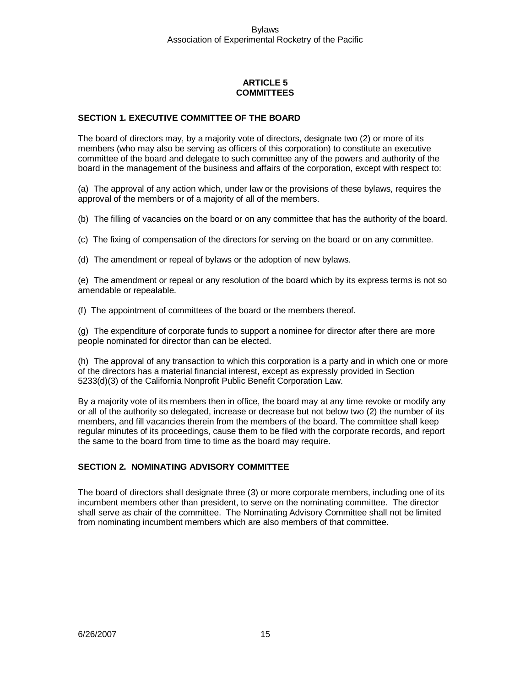#### **ARTICLE 5 COMMITTEES**

## **SECTION 1. EXECUTIVE COMMITTEE OF THE BOARD**

The board of directors may, by a majority vote of directors, designate two (2) or more of its members (who may also be serving as officers of this corporation) to constitute an executive committee of the board and delegate to such committee any of the powers and authority of the board in the management of the business and affairs of the corporation, except with respect to:

(a) The approval of any action which, under law or the provisions of these bylaws, requires the approval of the members or of a majority of all of the members.

(b) The filling of vacancies on the board or on any committee that has the authority of the board.

(c) The fixing of compensation of the directors for serving on the board or on any committee.

(d) The amendment or repeal of bylaws or the adoption of new bylaws.

(e) The amendment or repeal or any resolution of the board which by its express terms is not so amendable or repealable.

(f) The appointment of committees of the board or the members thereof.

(g) The expenditure of corporate funds to support a nominee for director after there are more people nominated for director than can be elected.

(h) The approval of any transaction to which this corporation is a party and in which one or more of the directors has a material financial interest, except as expressly provided in Section 5233(d)(3) of the California Nonprofit Public Benefit Corporation Law.

By a majority vote of its members then in office, the board may at any time revoke or modify any or all of the authority so delegated, increase or decrease but not below two (2) the number of its members, and fill vacancies therein from the members of the board. The committee shall keep regular minutes of its proceedings, cause them to be filed with the corporate records, and report the same to the board from time to time as the board may require.

## **SECTION 2. NOMINATING ADVISORY COMMITTEE**

The board of directors shall designate three (3) or more corporate members, including one of its incumbent members other than president, to serve on the nominating committee. The director shall serve as chair of the committee. The Nominating Advisory Committee shall not be limited from nominating incumbent members which are also members of that committee.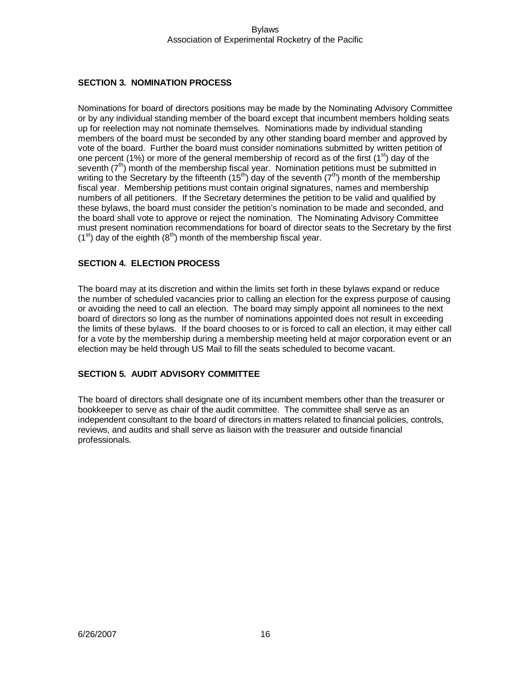# **SECTION 3. NOMINATION PROCESS**

Nominations for board of directors positions may be made by the Nominating Advisory Committee or by any individual standing member of the board except that incumbent members holding seats up for reelection may not nominate themselves. Nominations made by individual standing members of the board must be seconded by any other standing board member and approved by vote of the board. Further the board must consider nominations submitted by written petition of one percent (1%) or more of the general membership of record as of the first (1<sup>st</sup>) day of the seventh  $(7<sup>th</sup>)$  month of the membership fiscal year. Nomination petitions must be submitted in writing to the Secretary by the fifteenth  $(15<sup>th</sup>)$  day of the seventh  $(7<sup>th</sup>)$  month of the membership fiscal year. Membership petitions must contain original signatures, names and membership numbers of all petitioners. If the Secretary determines the petition to be valid and qualified by these bylaws, the board must consider the petition's nomination to be made and seconded, and the board shall vote to approve or reject the nomination. The Nominating Advisory Committee must present nomination recommendations for board of director seats to the Secretary by the first  $(1<sup>st</sup>)$  day of the eighth  $(8<sup>th</sup>)$  month of the membership fiscal year.

## **SECTION 4. ELECTION PROCESS**

The board may at its discretion and within the limits set forth in these bylaws expand or reduce the number of scheduled vacancies prior to calling an election for the express purpose of causing or avoiding the need to call an election. The board may simply appoint all nominees to the next board of directors so long as the number of nominations appointed does not result in exceeding the limits of these bylaws. If the board chooses to or is forced to call an election, it may either call for a vote by the membership during a membership meeting held at major corporation event or an election may be held through US Mail to fill the seats scheduled to become vacant.

## **SECTION 5. AUDIT ADVISORY COMMITTEE**

The board of directors shall designate one of its incumbent members other than the treasurer or bookkeeper to serve as chair of the audit committee. The committee shall serve as an independent consultant to the board of directors in matters related to financial policies, controls, reviews, and audits and shall serve as liaison with the treasurer and outside financial professionals.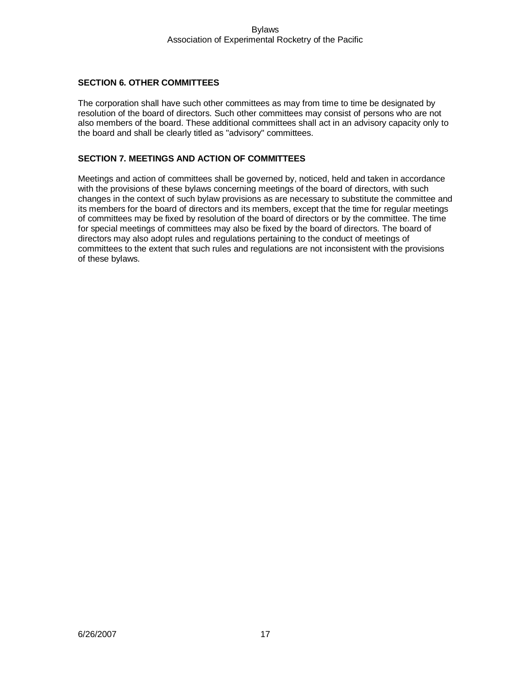## **SECTION 6. OTHER COMMITTEES**

The corporation shall have such other committees as may from time to time be designated by resolution of the board of directors. Such other committees may consist of persons who are not also members of the board. These additional committees shall act in an advisory capacity only to the board and shall be clearly titled as "advisory" committees.

## **SECTION 7. MEETINGS AND ACTION OF COMMITTEES**

Meetings and action of committees shall be governed by, noticed, held and taken in accordance with the provisions of these bylaws concerning meetings of the board of directors, with such changes in the context of such bylaw provisions as are necessary to substitute the committee and its members for the board of directors and its members, except that the time for regular meetings of committees may be fixed by resolution of the board of directors or by the committee. The time for special meetings of committees may also be fixed by the board of directors. The board of directors may also adopt rules and regulations pertaining to the conduct of meetings of committees to the extent that such rules and regulations are not inconsistent with the provisions of these bylaws.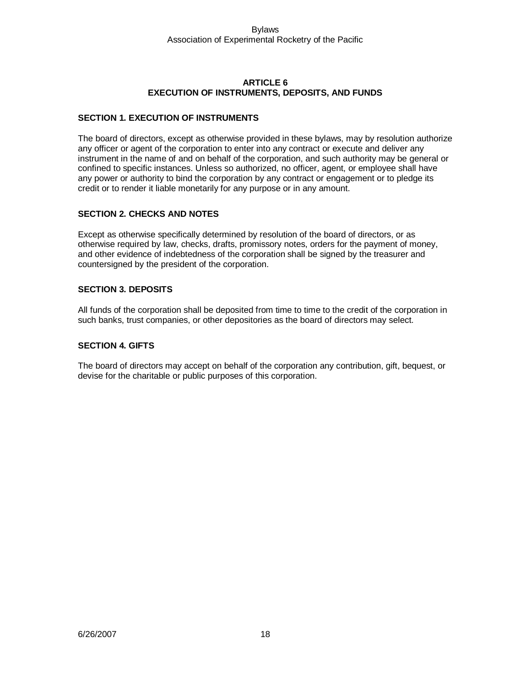#### **ARTICLE 6 EXECUTION OF INSTRUMENTS, DEPOSITS, AND FUNDS**

#### **SECTION 1. EXECUTION OF INSTRUMENTS**

The board of directors, except as otherwise provided in these bylaws, may by resolution authorize any officer or agent of the corporation to enter into any contract or execute and deliver any instrument in the name of and on behalf of the corporation, and such authority may be general or confined to specific instances. Unless so authorized, no officer, agent, or employee shall have any power or authority to bind the corporation by any contract or engagement or to pledge its credit or to render it liable monetarily for any purpose or in any amount.

## **SECTION 2. CHECKS AND NOTES**

Except as otherwise specifically determined by resolution of the board of directors, or as otherwise required by law, checks, drafts, promissory notes, orders for the payment of money, and other evidence of indebtedness of the corporation shall be signed by the treasurer and countersigned by the president of the corporation.

#### **SECTION 3. DEPOSITS**

All funds of the corporation shall be deposited from time to time to the credit of the corporation in such banks, trust companies, or other depositories as the board of directors may select.

#### **SECTION 4. GIFTS**

The board of directors may accept on behalf of the corporation any contribution, gift, bequest, or devise for the charitable or public purposes of this corporation.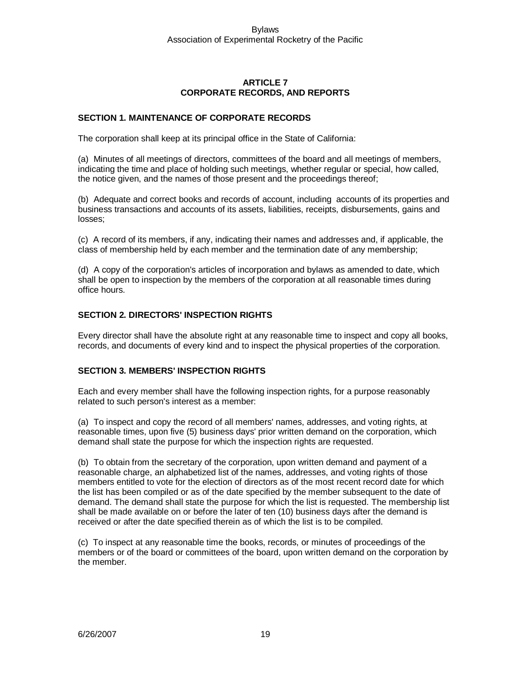#### **ARTICLE 7 CORPORATE RECORDS, AND REPORTS**

#### **SECTION 1. MAINTENANCE OF CORPORATE RECORDS**

The corporation shall keep at its principal office in the State of California:

(a) Minutes of all meetings of directors, committees of the board and all meetings of members, indicating the time and place of holding such meetings, whether regular or special, how called, the notice given, and the names of those present and the proceedings thereof;

(b) Adequate and correct books and records of account, including accounts of its properties and business transactions and accounts of its assets, liabilities, receipts, disbursements, gains and losses;

(c) A record of its members, if any, indicating their names and addresses and, if applicable, the class of membership held by each member and the termination date of any membership;

(d) A copy of the corporation's articles of incorporation and bylaws as amended to date, which shall be open to inspection by the members of the corporation at all reasonable times during office hours.

## **SECTION 2. DIRECTORS' INSPECTION RIGHTS**

Every director shall have the absolute right at any reasonable time to inspect and copy all books, records, and documents of every kind and to inspect the physical properties of the corporation.

#### **SECTION 3. MEMBERS' INSPECTION RIGHTS**

Each and every member shall have the following inspection rights, for a purpose reasonably related to such person's interest as a member:

(a) To inspect and copy the record of all members' names, addresses, and voting rights, at reasonable times, upon five (5) business days' prior written demand on the corporation, which demand shall state the purpose for which the inspection rights are requested.

(b) To obtain from the secretary of the corporation, upon written demand and payment of a reasonable charge, an alphabetized list of the names, addresses, and voting rights of those members entitled to vote for the election of directors as of the most recent record date for which the list has been compiled or as of the date specified by the member subsequent to the date of demand. The demand shall state the purpose for which the list is requested. The membership list shall be made available on or before the later of ten (10) business days after the demand is received or after the date specified therein as of which the list is to be compiled.

(c) To inspect at any reasonable time the books, records, or minutes of proceedings of the members or of the board or committees of the board, upon written demand on the corporation by the member.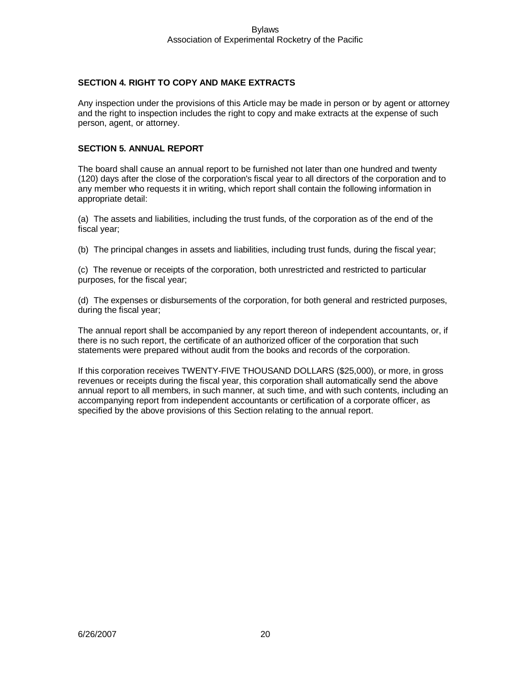# **SECTION 4. RIGHT TO COPY AND MAKE EXTRACTS**

Any inspection under the provisions of this Article may be made in person or by agent or attorney and the right to inspection includes the right to copy and make extracts at the expense of such person, agent, or attorney.

## **SECTION 5. ANNUAL REPORT**

The board shall cause an annual report to be furnished not later than one hundred and twenty (120) days after the close of the corporation's fiscal year to all directors of the corporation and to any member who requests it in writing, which report shall contain the following information in appropriate detail:

(a) The assets and liabilities, including the trust funds, of the corporation as of the end of the fiscal year;

(b) The principal changes in assets and liabilities, including trust funds, during the fiscal year;

(c) The revenue or receipts of the corporation, both unrestricted and restricted to particular purposes, for the fiscal year;

(d) The expenses or disbursements of the corporation, for both general and restricted purposes, during the fiscal year;

The annual report shall be accompanied by any report thereon of independent accountants, or, if there is no such report, the certificate of an authorized officer of the corporation that such statements were prepared without audit from the books and records of the corporation.

If this corporation receives TWENTY-FIVE THOUSAND DOLLARS (\$25,000), or more, in gross revenues or receipts during the fiscal year, this corporation shall automatically send the above annual report to all members, in such manner, at such time, and with such contents, including an accompanying report from independent accountants or certification of a corporate officer, as specified by the above provisions of this Section relating to the annual report.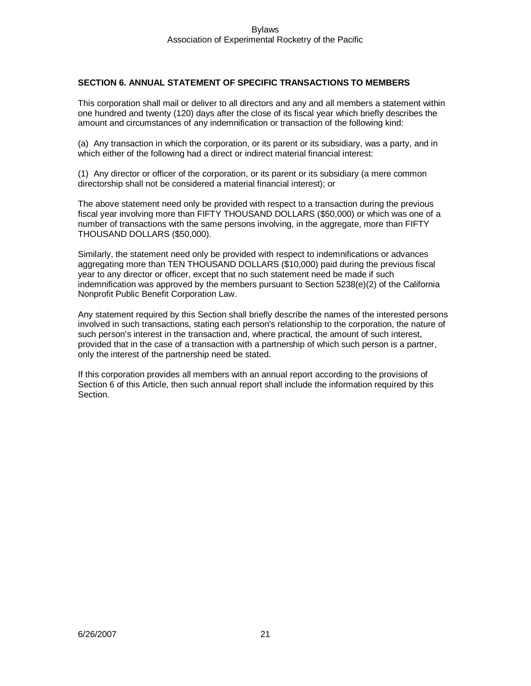## **SECTION 6. ANNUAL STATEMENT OF SPECIFIC TRANSACTIONS TO MEMBERS**

This corporation shall mail or deliver to all directors and any and all members a statement within one hundred and twenty (120) days after the close of its fiscal year which briefly describes the amount and circumstances of any indemnification or transaction of the following kind:

(a) Any transaction in which the corporation, or its parent or its subsidiary, was a party, and in which either of the following had a direct or indirect material financial interest:

(1) Any director or officer of the corporation, or its parent or its subsidiary (a mere common directorship shall not be considered a material financial interest); or

The above statement need only be provided with respect to a transaction during the previous fiscal year involving more than FIFTY THOUSAND DOLLARS (\$50,000) or which was one of a number of transactions with the same persons involving, in the aggregate, more than FIFTY THOUSAND DOLLARS (\$50,000).

Similarly, the statement need only be provided with respect to indemnifications or advances aggregating more than TEN THOUSAND DOLLARS (\$10,000) paid during the previous fiscal year to any director or officer, except that no such statement need be made if such indemnification was approved by the members pursuant to Section 5238(e)(2) of the California Nonprofit Public Benefit Corporation Law.

Any statement required by this Section shall briefly describe the names of the interested persons involved in such transactions, stating each person's relationship to the corporation, the nature of such person's interest in the transaction and, where practical, the amount of such interest, provided that in the case of a transaction with a partnership of which such person is a partner, only the interest of the partnership need be stated.

If this corporation provides all members with an annual report according to the provisions of Section 6 of this Article, then such annual report shall include the information required by this Section.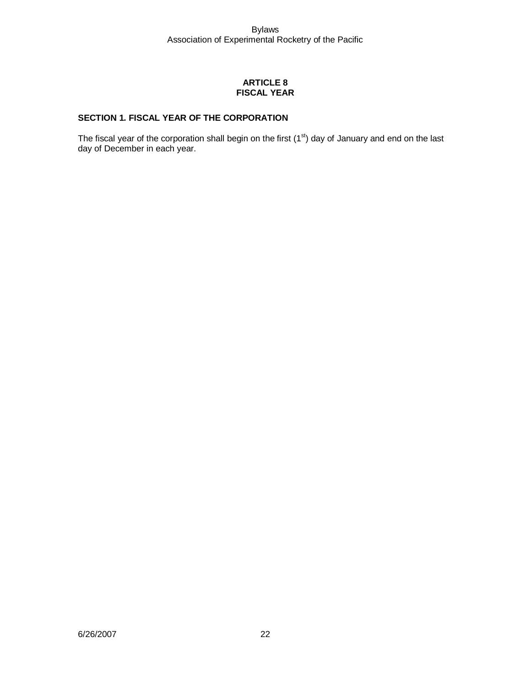## **ARTICLE 8 FISCAL YEAR**

# **SECTION 1. FISCAL YEAR OF THE CORPORATION**

The fiscal year of the corporation shall begin on the first  $(1<sup>st</sup>)$  day of January and end on the last day of December in each year.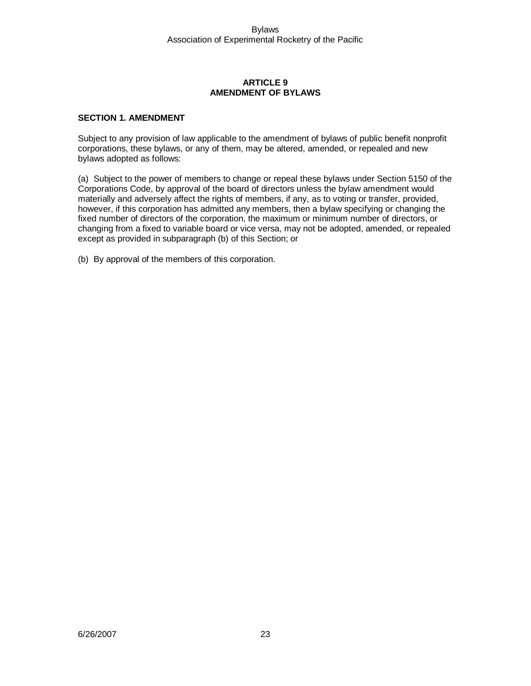#### **ARTICLE 9 AMENDMENT OF BYLAWS**

## **SECTION 1. AMENDMENT**

Subject to any provision of law applicable to the amendment of bylaws of public benefit nonprofit corporations, these bylaws, or any of them, may be altered, amended, or repealed and new bylaws adopted as follows:

(a) Subject to the power of members to change or repeal these bylaws under Section 5150 of the Corporations Code, by approval of the board of directors unless the bylaw amendment would materially and adversely affect the rights of members, if any, as to voting or transfer, provided, however, if this corporation has admitted any members, then a bylaw specifying or changing the fixed number of directors of the corporation, the maximum or minimum number of directors, or changing from a fixed to variable board or vice versa, may not be adopted, amended, or repealed except as provided in subparagraph (b) of this Section; or

(b) By approval of the members of this corporation.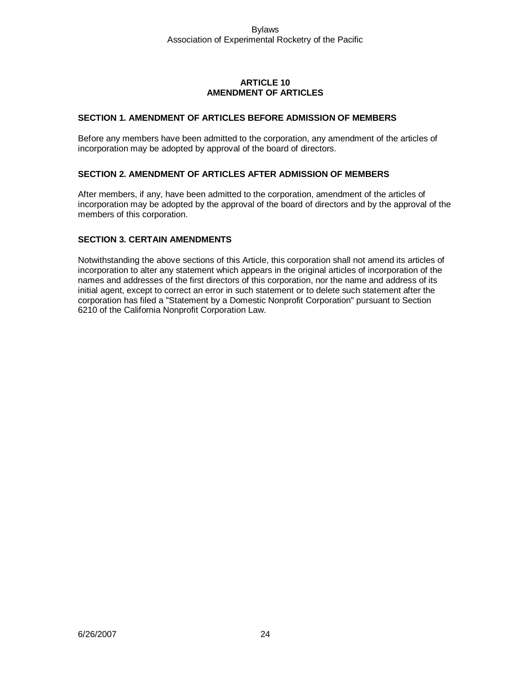## **ARTICLE 10 AMENDMENT OF ARTICLES**

#### **SECTION 1. AMENDMENT OF ARTICLES BEFORE ADMISSION OF MEMBERS**

Before any members have been admitted to the corporation, any amendment of the articles of incorporation may be adopted by approval of the board of directors.

## **SECTION 2. AMENDMENT OF ARTICLES AFTER ADMISSION OF MEMBERS**

After members, if any, have been admitted to the corporation, amendment of the articles of incorporation may be adopted by the approval of the board of directors and by the approval of the members of this corporation.

#### **SECTION 3. CERTAIN AMENDMENTS**

Notwithstanding the above sections of this Article, this corporation shall not amend its articles of incorporation to alter any statement which appears in the original articles of incorporation of the names and addresses of the first directors of this corporation, nor the name and address of its initial agent, except to correct an error in such statement or to delete such statement after the corporation has filed a "Statement by a Domestic Nonprofit Corporation" pursuant to Section 6210 of the California Nonprofit Corporation Law.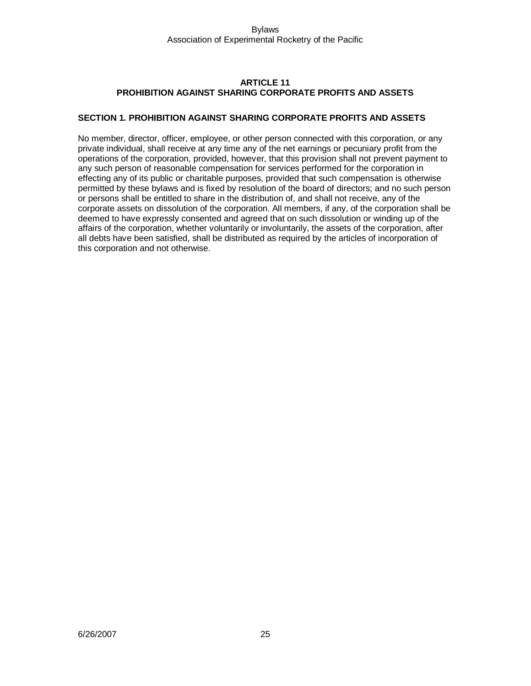#### **ARTICLE 11 PROHIBITION AGAINST SHARING CORPORATE PROFITS AND ASSETS**

## **SECTION 1. PROHIBITION AGAINST SHARING CORPORATE PROFITS AND ASSETS**

No member, director, officer, employee, or other person connected with this corporation, or any private individual, shall receive at any time any of the net earnings or pecuniary profit from the operations of the corporation, provided, however, that this provision shall not prevent payment to any such person of reasonable compensation for services performed for the corporation in effecting any of its public or charitable purposes, provided that such compensation is otherwise permitted by these bylaws and is fixed by resolution of the board of directors; and no such person or persons shall be entitled to share in the distribution of, and shall not receive, any of the corporate assets on dissolution of the corporation. All members, if any, of the corporation shall be deemed to have expressly consented and agreed that on such dissolution or winding up of the affairs of the corporation, whether voluntarily or involuntarily, the assets of the corporation, after all debts have been satisfied, shall be distributed as required by the articles of incorporation of this corporation and not otherwise.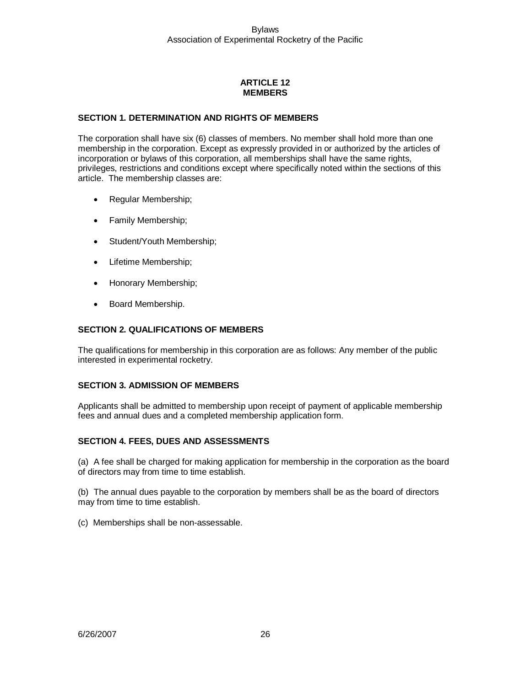## **ARTICLE 12 MEMBERS**

## **SECTION 1. DETERMINATION AND RIGHTS OF MEMBERS**

The corporation shall have six (6) classes of members. No member shall hold more than one membership in the corporation. Except as expressly provided in or authorized by the articles of incorporation or bylaws of this corporation, all memberships shall have the same rights, privileges, restrictions and conditions except where specifically noted within the sections of this article. The membership classes are:

- Regular Membership;
- Family Membership;
- Student/Youth Membership;
- Lifetime Membership;
- Honorary Membership;
- Board Membership.

#### **SECTION 2. QUALIFICATIONS OF MEMBERS**

The qualifications for membership in this corporation are as follows: Any member of the public interested in experimental rocketry.

#### **SECTION 3. ADMISSION OF MEMBERS**

Applicants shall be admitted to membership upon receipt of payment of applicable membership fees and annual dues and a completed membership application form.

## **SECTION 4. FEES, DUES AND ASSESSMENTS**

(a) A fee shall be charged for making application for membership in the corporation as the board of directors may from time to time establish.

(b) The annual dues payable to the corporation by members shall be as the board of directors may from time to time establish.

(c) Memberships shall be non-assessable.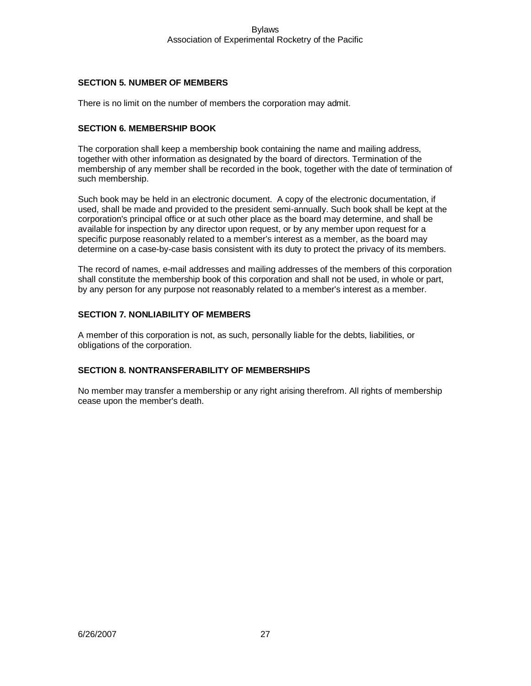#### **SECTION 5. NUMBER OF MEMBERS**

There is no limit on the number of members the corporation may admit.

#### **SECTION 6. MEMBERSHIP BOOK**

The corporation shall keep a membership book containing the name and mailing address, together with other information as designated by the board of directors. Termination of the membership of any member shall be recorded in the book, together with the date of termination of such membership.

Such book may be held in an electronic document. A copy of the electronic documentation, if used, shall be made and provided to the president semi-annually. Such book shall be kept at the corporation's principal office or at such other place as the board may determine, and shall be available for inspection by any director upon request, or by any member upon request for a specific purpose reasonably related to a member's interest as a member, as the board may determine on a case-by-case basis consistent with its duty to protect the privacy of its members.

The record of names, e-mail addresses and mailing addresses of the members of this corporation shall constitute the membership book of this corporation and shall not be used, in whole or part, by any person for any purpose not reasonably related to a member's interest as a member.

#### **SECTION 7. NONLIABILITY OF MEMBERS**

A member of this corporation is not, as such, personally liable for the debts, liabilities, or obligations of the corporation.

#### **SECTION 8. NONTRANSFERABILITY OF MEMBERSHIPS**

No member may transfer a membership or any right arising therefrom. All rights of membership cease upon the member's death.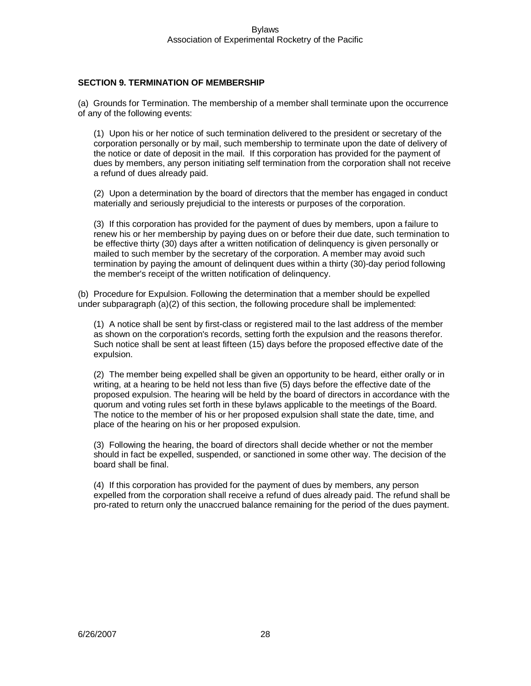## **SECTION 9. TERMINATION OF MEMBERSHIP**

(a) Grounds for Termination. The membership of a member shall terminate upon the occurrence of any of the following events:

 (1) Upon his or her notice of such termination delivered to the president or secretary of the corporation personally or by mail, such membership to terminate upon the date of delivery of the notice or date of deposit in the mail. If this corporation has provided for the payment of dues by members, any person initiating self termination from the corporation shall not receive a refund of dues already paid.

 (2) Upon a determination by the board of directors that the member has engaged in conduct materially and seriously prejudicial to the interests or purposes of the corporation.

 (3) If this corporation has provided for the payment of dues by members, upon a failure to renew his or her membership by paying dues on or before their due date, such termination to be effective thirty (30) days after a written notification of delinquency is given personally or mailed to such member by the secretary of the corporation. A member may avoid such termination by paying the amount of delinquent dues within a thirty (30)-day period following the member's receipt of the written notification of delinquency.

(b) Procedure for Expulsion. Following the determination that a member should be expelled under subparagraph (a)(2) of this section, the following procedure shall be implemented:

 (1) A notice shall be sent by first-class or registered mail to the last address of the member as shown on the corporation's records, setting forth the expulsion and the reasons therefor. Such notice shall be sent at least fifteen (15) days before the proposed effective date of the expulsion.

 (2) The member being expelled shall be given an opportunity to be heard, either orally or in writing, at a hearing to be held not less than five (5) days before the effective date of the proposed expulsion. The hearing will be held by the board of directors in accordance with the quorum and voting rules set forth in these bylaws applicable to the meetings of the Board. The notice to the member of his or her proposed expulsion shall state the date, time, and place of the hearing on his or her proposed expulsion.

 (3) Following the hearing, the board of directors shall decide whether or not the member should in fact be expelled, suspended, or sanctioned in some other way. The decision of the board shall be final.

 (4) If this corporation has provided for the payment of dues by members, any person expelled from the corporation shall receive a refund of dues already paid. The refund shall be pro-rated to return only the unaccrued balance remaining for the period of the dues payment.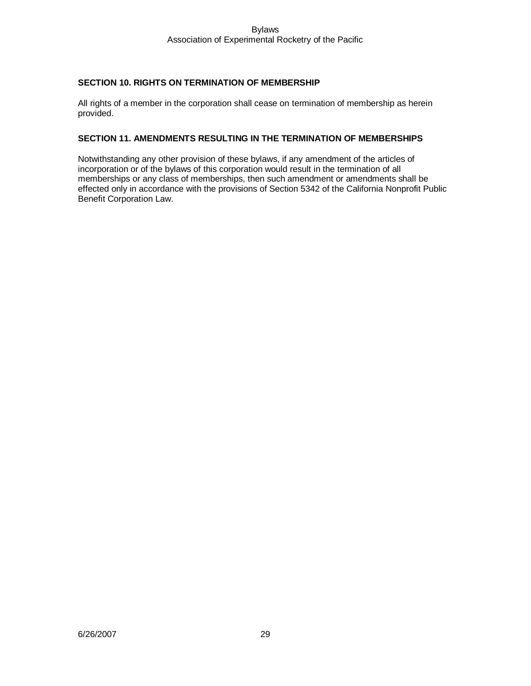# **SECTION 10. RIGHTS ON TERMINATION OF MEMBERSHIP**

All rights of a member in the corporation shall cease on termination of membership as herein provided.

# **SECTION 11. AMENDMENTS RESULTING IN THE TERMINATION OF MEMBERSHIPS**

Notwithstanding any other provision of these bylaws, if any amendment of the articles of incorporation or of the bylaws of this corporation would result in the termination of all memberships or any class of memberships, then such amendment or amendments shall be effected only in accordance with the provisions of Section 5342 of the California Nonprofit Public Benefit Corporation Law.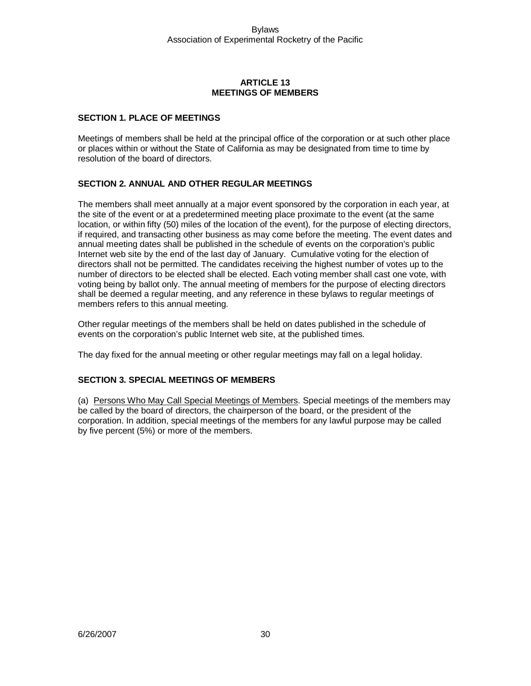#### **ARTICLE 13 MEETINGS OF MEMBERS**

#### **SECTION 1. PLACE OF MEETINGS**

Meetings of members shall be held at the principal office of the corporation or at such other place or places within or without the State of California as may be designated from time to time by resolution of the board of directors.

## **SECTION 2. ANNUAL AND OTHER REGULAR MEETINGS**

The members shall meet annually at a major event sponsored by the corporation in each year, at the site of the event or at a predetermined meeting place proximate to the event (at the same location, or within fifty (50) miles of the location of the event), for the purpose of electing directors, if required, and transacting other business as may come before the meeting. The event dates and annual meeting dates shall be published in the schedule of events on the corporation's public Internet web site by the end of the last day of January. Cumulative voting for the election of directors shall not be permitted. The candidates receiving the highest number of votes up to the number of directors to be elected shall be elected. Each voting member shall cast one vote, with voting being by ballot only. The annual meeting of members for the purpose of electing directors shall be deemed a regular meeting, and any reference in these bylaws to regular meetings of members refers to this annual meeting.

Other regular meetings of the members shall be held on dates published in the schedule of events on the corporation's public Internet web site, at the published times.

The day fixed for the annual meeting or other regular meetings may fall on a legal holiday.

## **SECTION 3. SPECIAL MEETINGS OF MEMBERS**

(a) Persons Who May Call Special Meetings of Members. Special meetings of the members may be called by the board of directors, the chairperson of the board, or the president of the corporation. In addition, special meetings of the members for any lawful purpose may be called by five percent (5%) or more of the members.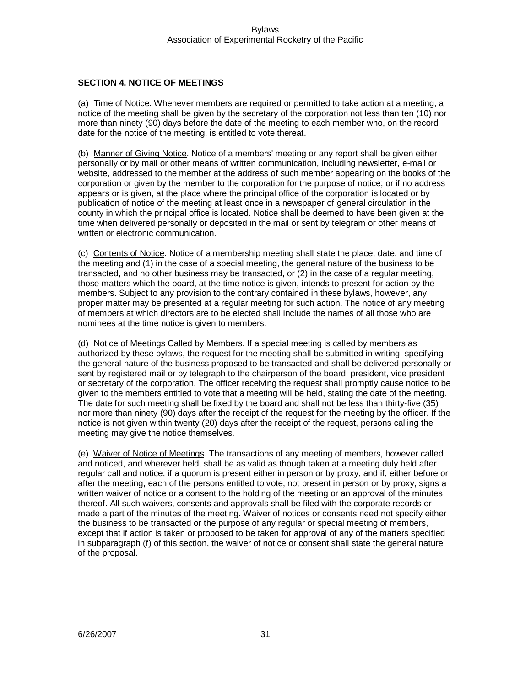## **SECTION 4. NOTICE OF MEETINGS**

(a) Time of Notice. Whenever members are required or permitted to take action at a meeting, a notice of the meeting shall be given by the secretary of the corporation not less than ten (10) nor more than ninety (90) days before the date of the meeting to each member who, on the record date for the notice of the meeting, is entitled to vote thereat.

(b) Manner of Giving Notice. Notice of a members' meeting or any report shall be given either personally or by mail or other means of written communication, including newsletter, e-mail or website, addressed to the member at the address of such member appearing on the books of the corporation or given by the member to the corporation for the purpose of notice; or if no address appears or is given, at the place where the principal office of the corporation is located or by publication of notice of the meeting at least once in a newspaper of general circulation in the county in which the principal office is located. Notice shall be deemed to have been given at the time when delivered personally or deposited in the mail or sent by telegram or other means of written or electronic communication.

(c) Contents of Notice. Notice of a membership meeting shall state the place, date, and time of the meeting and (1) in the case of a special meeting, the general nature of the business to be transacted, and no other business may be transacted, or (2) in the case of a regular meeting, those matters which the board, at the time notice is given, intends to present for action by the members. Subject to any provision to the contrary contained in these bylaws, however, any proper matter may be presented at a regular meeting for such action. The notice of any meeting of members at which directors are to be elected shall include the names of all those who are nominees at the time notice is given to members.

(d) Notice of Meetings Called by Members. If a special meeting is called by members as authorized by these bylaws, the request for the meeting shall be submitted in writing, specifying the general nature of the business proposed to be transacted and shall be delivered personally or sent by registered mail or by telegraph to the chairperson of the board, president, vice president or secretary of the corporation. The officer receiving the request shall promptly cause notice to be given to the members entitled to vote that a meeting will be held, stating the date of the meeting. The date for such meeting shall be fixed by the board and shall not be less than thirty-five (35) nor more than ninety (90) days after the receipt of the request for the meeting by the officer. If the notice is not given within twenty (20) days after the receipt of the request, persons calling the meeting may give the notice themselves.

(e) Waiver of Notice of Meetings. The transactions of any meeting of members, however called and noticed, and wherever held, shall be as valid as though taken at a meeting duly held after regular call and notice, if a quorum is present either in person or by proxy, and if, either before or after the meeting, each of the persons entitled to vote, not present in person or by proxy, signs a written waiver of notice or a consent to the holding of the meeting or an approval of the minutes thereof. All such waivers, consents and approvals shall be filed with the corporate records or made a part of the minutes of the meeting. Waiver of notices or consents need not specify either the business to be transacted or the purpose of any regular or special meeting of members, except that if action is taken or proposed to be taken for approval of any of the matters specified in subparagraph (f) of this section, the waiver of notice or consent shall state the general nature of the proposal.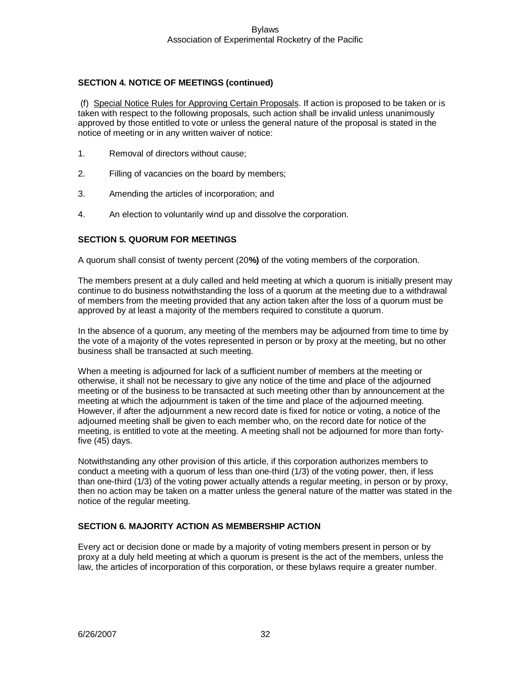# **SECTION 4. NOTICE OF MEETINGS (continued)**

 (f) Special Notice Rules for Approving Certain Proposals. If action is proposed to be taken or is taken with respect to the following proposals, such action shall be invalid unless unanimously approved by those entitled to vote or unless the general nature of the proposal is stated in the notice of meeting or in any written waiver of notice:

- 1. Removal of directors without cause;
- 2. Filling of vacancies on the board by members;
- 3. Amending the articles of incorporation; and
- 4. An election to voluntarily wind up and dissolve the corporation.

## **SECTION 5. QUORUM FOR MEETINGS**

A quorum shall consist of twenty percent (20**%)** of the voting members of the corporation.

The members present at a duly called and held meeting at which a quorum is initially present may continue to do business notwithstanding the loss of a quorum at the meeting due to a withdrawal of members from the meeting provided that any action taken after the loss of a quorum must be approved by at least a majority of the members required to constitute a quorum.

In the absence of a quorum, any meeting of the members may be adjourned from time to time by the vote of a majority of the votes represented in person or by proxy at the meeting, but no other business shall be transacted at such meeting.

When a meeting is adjourned for lack of a sufficient number of members at the meeting or otherwise, it shall not be necessary to give any notice of the time and place of the adjourned meeting or of the business to be transacted at such meeting other than by announcement at the meeting at which the adjournment is taken of the time and place of the adjourned meeting. However, if after the adjournment a new record date is fixed for notice or voting, a notice of the adjourned meeting shall be given to each member who, on the record date for notice of the meeting, is entitled to vote at the meeting. A meeting shall not be adjourned for more than fortyfive (45) days.

Notwithstanding any other provision of this article, if this corporation authorizes members to conduct a meeting with a quorum of less than one-third (1/3) of the voting power, then, if less than one-third (1/3) of the voting power actually attends a regular meeting, in person or by proxy, then no action may be taken on a matter unless the general nature of the matter was stated in the notice of the regular meeting.

## **SECTION 6. MAJORITY ACTION AS MEMBERSHIP ACTION**

Every act or decision done or made by a majority of voting members present in person or by proxy at a duly held meeting at which a quorum is present is the act of the members, unless the law, the articles of incorporation of this corporation, or these bylaws require a greater number.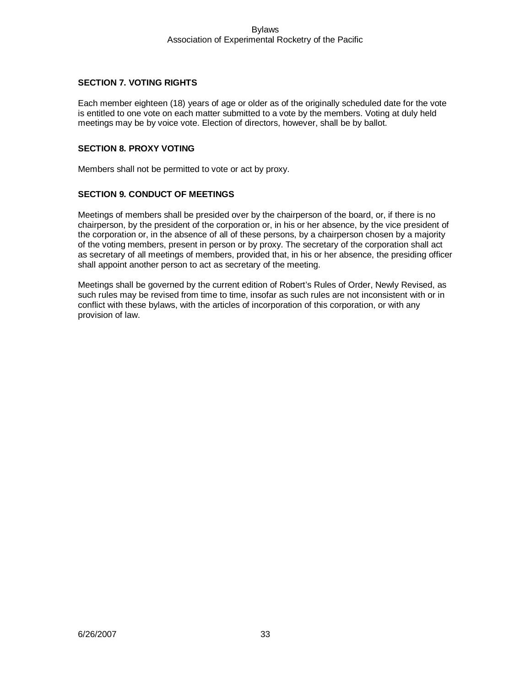# **SECTION 7. VOTING RIGHTS**

Each member eighteen (18) years of age or older as of the originally scheduled date for the vote is entitled to one vote on each matter submitted to a vote by the members. Voting at duly held meetings may be by voice vote. Election of directors, however, shall be by ballot.

## **SECTION 8. PROXY VOTING**

Members shall not be permitted to vote or act by proxy.

## **SECTION 9. CONDUCT OF MEETINGS**

Meetings of members shall be presided over by the chairperson of the board, or, if there is no chairperson, by the president of the corporation or, in his or her absence, by the vice president of the corporation or, in the absence of all of these persons, by a chairperson chosen by a majority of the voting members, present in person or by proxy. The secretary of the corporation shall act as secretary of all meetings of members, provided that, in his or her absence, the presiding officer shall appoint another person to act as secretary of the meeting.

Meetings shall be governed by the current edition of Robert's Rules of Order, Newly Revised, as such rules may be revised from time to time, insofar as such rules are not inconsistent with or in conflict with these bylaws, with the articles of incorporation of this corporation, or with any provision of law.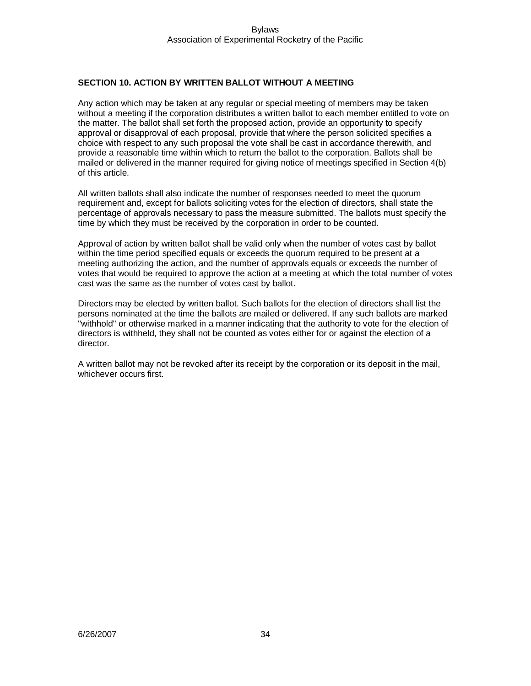# **SECTION 10. ACTION BY WRITTEN BALLOT WITHOUT A MEETING**

Any action which may be taken at any regular or special meeting of members may be taken without a meeting if the corporation distributes a written ballot to each member entitled to vote on the matter. The ballot shall set forth the proposed action, provide an opportunity to specify approval or disapproval of each proposal, provide that where the person solicited specifies a choice with respect to any such proposal the vote shall be cast in accordance therewith, and provide a reasonable time within which to return the ballot to the corporation. Ballots shall be mailed or delivered in the manner required for giving notice of meetings specified in Section 4(b) of this article.

All written ballots shall also indicate the number of responses needed to meet the quorum requirement and, except for ballots soliciting votes for the election of directors, shall state the percentage of approvals necessary to pass the measure submitted. The ballots must specify the time by which they must be received by the corporation in order to be counted.

Approval of action by written ballot shall be valid only when the number of votes cast by ballot within the time period specified equals or exceeds the quorum required to be present at a meeting authorizing the action, and the number of approvals equals or exceeds the number of votes that would be required to approve the action at a meeting at which the total number of votes cast was the same as the number of votes cast by ballot.

Directors may be elected by written ballot. Such ballots for the election of directors shall list the persons nominated at the time the ballots are mailed or delivered. If any such ballots are marked "withhold" or otherwise marked in a manner indicating that the authority to vote for the election of directors is withheld, they shall not be counted as votes either for or against the election of a director.

A written ballot may not be revoked after its receipt by the corporation or its deposit in the mail, whichever occurs first.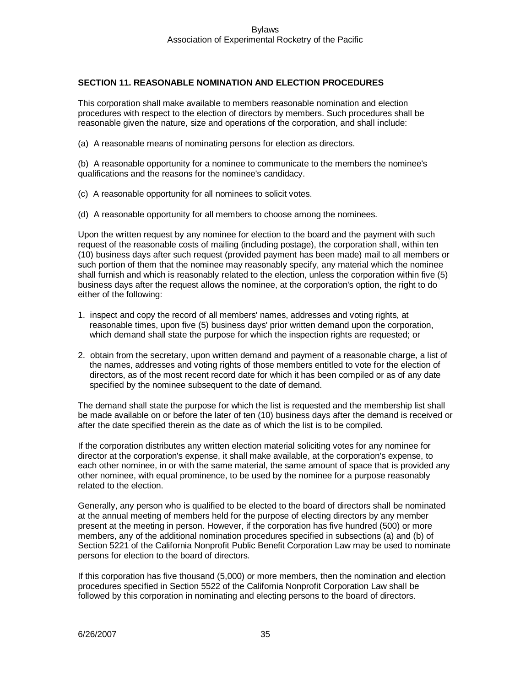## **SECTION 11. REASONABLE NOMINATION AND ELECTION PROCEDURES**

This corporation shall make available to members reasonable nomination and election procedures with respect to the election of directors by members. Such procedures shall be reasonable given the nature, size and operations of the corporation, and shall include:

(a) A reasonable means of nominating persons for election as directors.

(b) A reasonable opportunity for a nominee to communicate to the members the nominee's qualifications and the reasons for the nominee's candidacy.

- (c) A reasonable opportunity for all nominees to solicit votes.
- (d) A reasonable opportunity for all members to choose among the nominees.

Upon the written request by any nominee for election to the board and the payment with such request of the reasonable costs of mailing (including postage), the corporation shall, within ten (10) business days after such request (provided payment has been made) mail to all members or such portion of them that the nominee may reasonably specify, any material which the nominee shall furnish and which is reasonably related to the election, unless the corporation within five (5) business days after the request allows the nominee, at the corporation's option, the right to do either of the following:

- 1. inspect and copy the record of all members' names, addresses and voting rights, at reasonable times, upon five (5) business days' prior written demand upon the corporation, which demand shall state the purpose for which the inspection rights are requested; or
- 2. obtain from the secretary, upon written demand and payment of a reasonable charge, a list of the names, addresses and voting rights of those members entitled to vote for the election of directors, as of the most recent record date for which it has been compiled or as of any date specified by the nominee subsequent to the date of demand.

The demand shall state the purpose for which the list is requested and the membership list shall be made available on or before the later of ten (10) business days after the demand is received or after the date specified therein as the date as of which the list is to be compiled.

If the corporation distributes any written election material soliciting votes for any nominee for director at the corporation's expense, it shall make available, at the corporation's expense, to each other nominee, in or with the same material, the same amount of space that is provided any other nominee, with equal prominence, to be used by the nominee for a purpose reasonably related to the election.

Generally, any person who is qualified to be elected to the board of directors shall be nominated at the annual meeting of members held for the purpose of electing directors by any member present at the meeting in person. However, if the corporation has five hundred (500) or more members, any of the additional nomination procedures specified in subsections (a) and (b) of Section 5221 of the California Nonprofit Public Benefit Corporation Law may be used to nominate persons for election to the board of directors.

If this corporation has five thousand (5,000) or more members, then the nomination and election procedures specified in Section 5522 of the California Nonprofit Corporation Law shall be followed by this corporation in nominating and electing persons to the board of directors.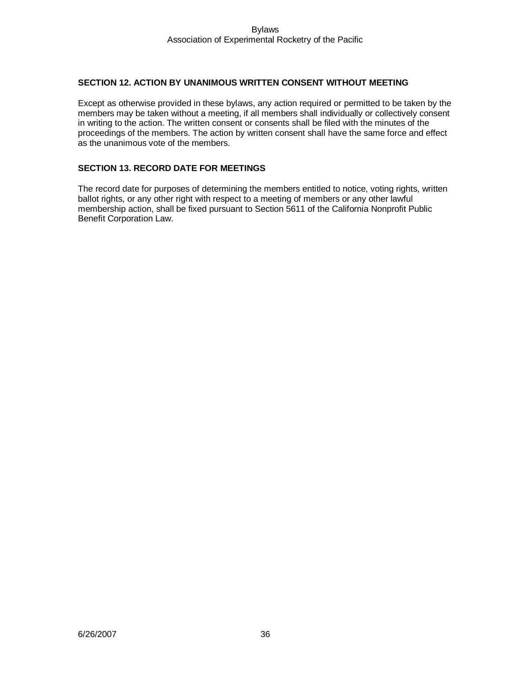# **SECTION 12. ACTION BY UNANIMOUS WRITTEN CONSENT WITHOUT MEETING**

Except as otherwise provided in these bylaws, any action required or permitted to be taken by the members may be taken without a meeting, if all members shall individually or collectively consent in writing to the action. The written consent or consents shall be filed with the minutes of the proceedings of the members. The action by written consent shall have the same force and effect as the unanimous vote of the members.

# **SECTION 13. RECORD DATE FOR MEETINGS**

The record date for purposes of determining the members entitled to notice, voting rights, written ballot rights, or any other right with respect to a meeting of members or any other lawful membership action, shall be fixed pursuant to Section 5611 of the California Nonprofit Public Benefit Corporation Law.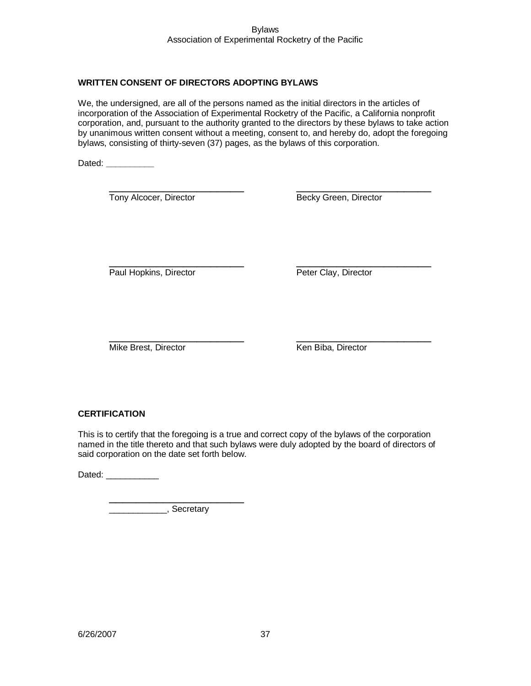# **WRITTEN CONSENT OF DIRECTORS ADOPTING BYLAWS**

We, the undersigned, are all of the persons named as the initial directors in the articles of incorporation of the Association of Experimental Rocketry of the Pacific, a California nonprofit corporation, and, pursuant to the authority granted to the directors by these bylaws to take action by unanimous written consent without a meeting, consent to, and hereby do, adopt the foregoing bylaws, consisting of thirty-seven (37) pages, as the bylaws of this corporation.

Dated: **\_\_\_\_\_\_\_\_\_\_**

\_\_\_\_\_\_\_\_\_\_\_\_\_\_\_\_\_\_\_\_ \_\_\_\_\_\_\_\_\_\_\_\_\_\_\_\_\_\_\_\_ Tony Alcocer, Director **Becky Green**, Director

\_\_\_\_\_\_\_\_\_\_\_\_\_\_\_\_\_\_\_\_ \_\_\_\_\_\_\_\_\_\_\_\_\_\_\_\_\_\_\_\_ Paul Hopkins, Director **Peter Clay, Director** 

\_\_\_\_\_\_\_\_\_\_\_\_\_\_\_\_\_\_\_\_ \_\_\_\_\_\_\_\_\_\_\_\_\_\_\_\_\_\_\_\_ Mike Brest, Director **Ken Biba, Director** Ken Biba, Director

## **CERTIFICATION**

This is to certify that the foregoing is a true and correct copy of the bylaws of the corporation named in the title thereto and that such bylaws were duly adopted by the board of directors of said corporation on the date set forth below.

Dated: \_\_\_\_\_\_\_\_\_\_\_\_\_

**\_\_\_\_\_\_\_\_\_\_\_\_\_**, Secretary

\_\_\_\_\_\_\_\_\_\_\_\_\_\_\_\_\_\_\_\_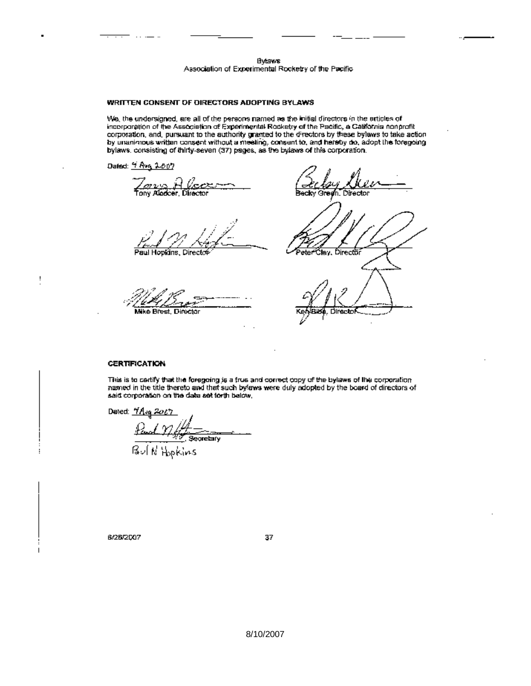**Bytaws** Association of Experimental Rocketry of the Pacific

#### WRITTEN CONSENT OF DIRECTORS ADOPTING BYLAWS

We, the undersigned, are all of the persons named as the initial directors in the articles of incorporation of the Association of Experimental Rocketry of the Pacific, a California nonprofit corporation, and, pursuant to the authority granted to the directors by these bylaws to take action by unanimous written consent without a meeting, consent to, and hereby do, adopt the foregoing bylaws, consisting of thirty-seven (37) pages, as the bylaws of this corporation.

Dated: 9 Avg 1.007

Paul Hopkins, Directo

Mike Brest, Director

โดน, Directoi

Directo

#### **CERTIFICATION**

Ţ

This is to certify that the foregoing is a frus and correct copy of the bylaws of the corporation named in the title thereto and that such by aws were duly adopted by the board of directors of said corporation on the date set forth below,

Dated: 11 Aug 2067

ecretary

Bul N Hopkins

6/26/2007

37